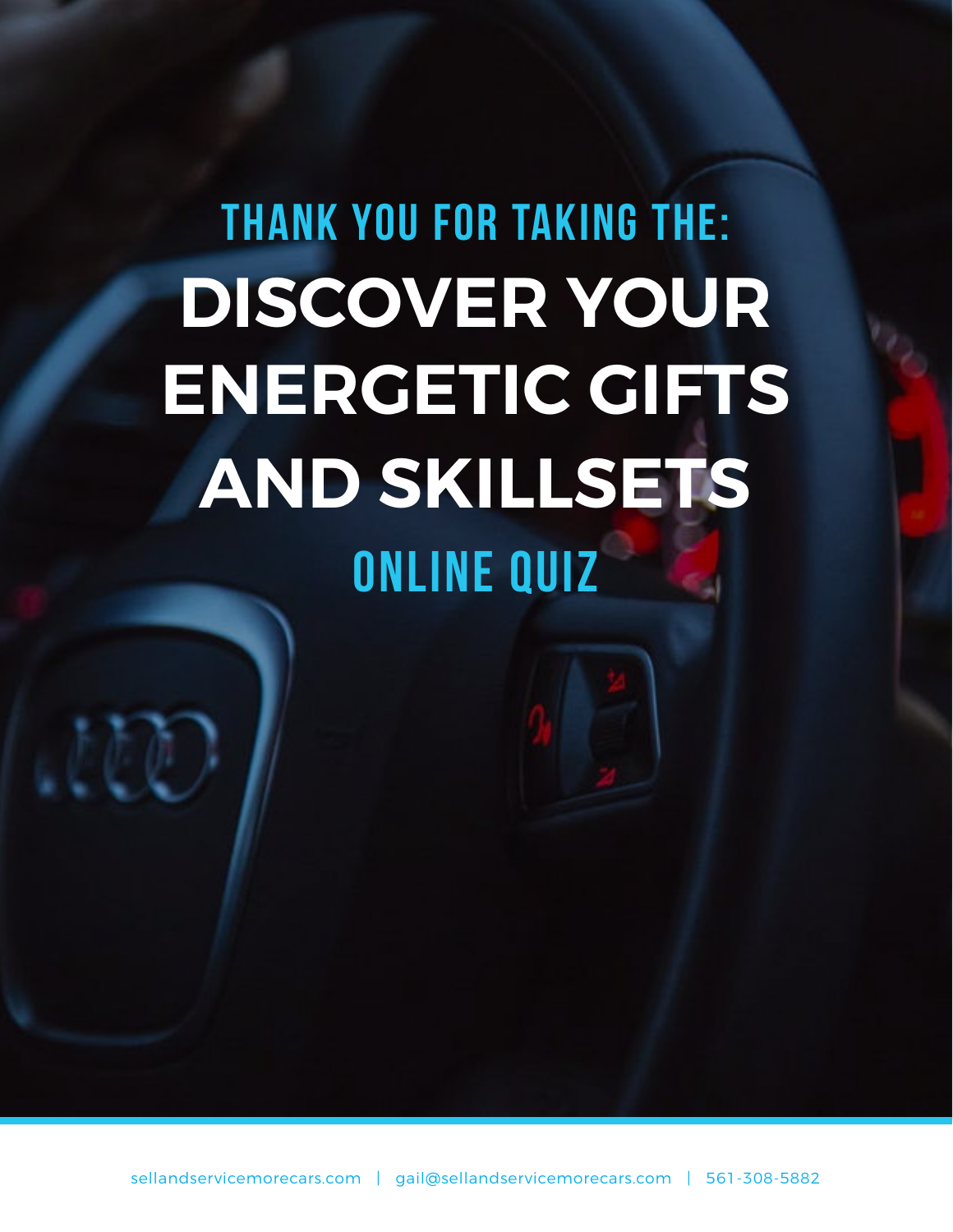# THANK YOU FOR TAKING THE: **DISCOVER YOUR ENERGETIC GIFTS AND SKILLSETS** Online Quiz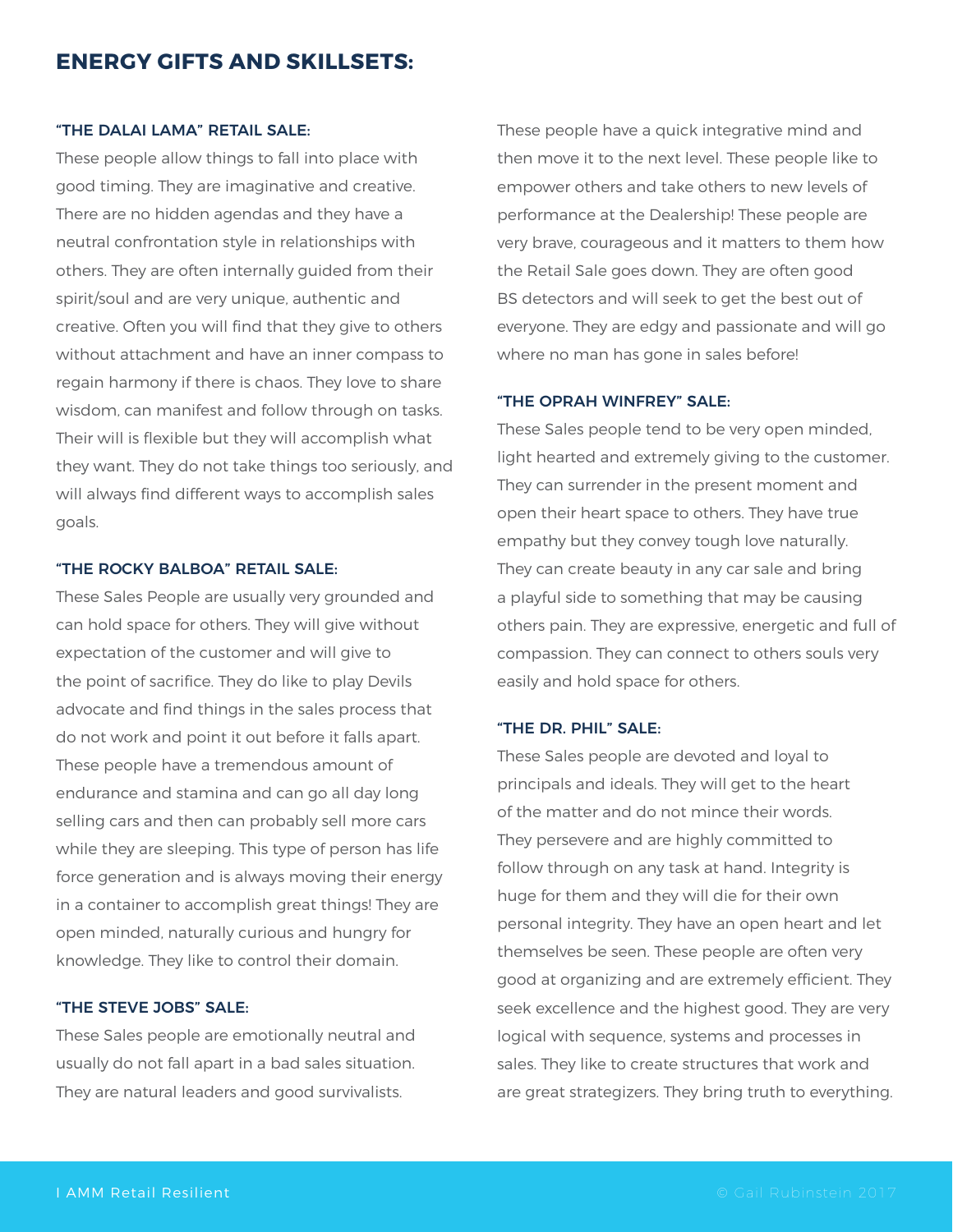### **ENERGY GIFTS AND SKILLSETS:**

#### "The Dalai Lama" Retail Sale:

These people allow things to fall into place with good timing. They are imaginative and creative. There are no hidden agendas and they have a neutral confrontation style in relationships with others. They are often internally guided from their spirit/soul and are very unique, authentic and creative. Often you will find that they give to others without attachment and have an inner compass to regain harmony if there is chaos. They love to share wisdom, can manifest and follow through on tasks. Their will is flexible but they will accomplish what they want. They do not take things too seriously, and will always find different ways to accomplish sales goals.

#### "The Rocky Balboa" Retail Sale:

These Sales People are usually very grounded and can hold space for others. They will give without expectation of the customer and will give to the point of sacrifice. They do like to play Devils advocate and find things in the sales process that do not work and point it out before it falls apart. These people have a tremendous amount of endurance and stamina and can go all day long selling cars and then can probably sell more cars while they are sleeping. This type of person has life force generation and is always moving their energy in a container to accomplish great things! They are open minded, naturally curious and hungry for knowledge. They like to control their domain.

#### "The Steve Jobs" Sale:

These Sales people are emotionally neutral and usually do not fall apart in a bad sales situation. They are natural leaders and good survivalists.

These people have a quick integrative mind and then move it to the next level. These people like to empower others and take others to new levels of performance at the Dealership! These people are very brave, courageous and it matters to them how the Retail Sale goes down. They are often good BS detectors and will seek to get the best out of everyone. They are edgy and passionate and will go where no man has gone in sales before!

#### "The Oprah Winfrey" Sale:

These Sales people tend to be very open minded, light hearted and extremely giving to the customer. They can surrender in the present moment and open their heart space to others. They have true empathy but they convey tough love naturally. They can create beauty in any car sale and bring a playful side to something that may be causing others pain. They are expressive, energetic and full of compassion. They can connect to others souls very easily and hold space for others.

#### "The Dr. Phil" Sale:

These Sales people are devoted and loyal to principals and ideals. They will get to the heart of the matter and do not mince their words. They persevere and are highly committed to follow through on any task at hand. Integrity is huge for them and they will die for their own personal integrity. They have an open heart and let themselves be seen. These people are often very good at organizing and are extremely efficient. They seek excellence and the highest good. They are very logical with sequence, systems and processes in sales. They like to create structures that work and are great strategizers. They bring truth to everything.